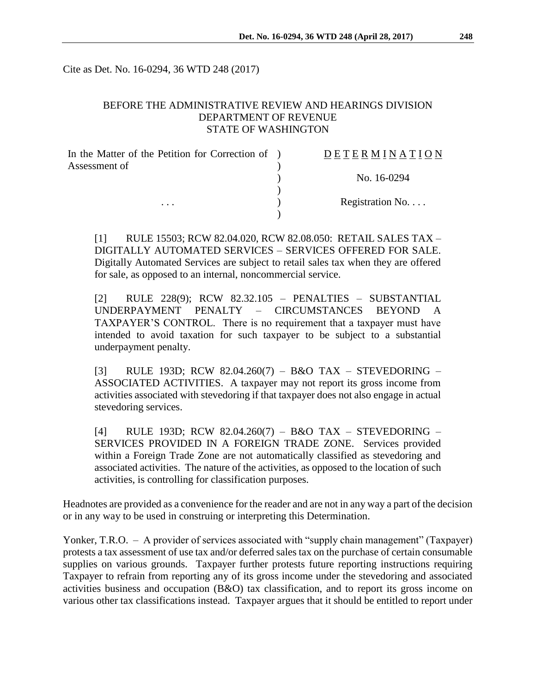Cite as Det. No. 16-0294, 36 WTD 248 (2017)

#### BEFORE THE ADMINISTRATIVE REVIEW AND HEARINGS DIVISION DEPARTMENT OF REVENUE STATE OF WASHINGTON

| In the Matter of the Petition for Correction of ) | DETERMINATION   |
|---------------------------------------------------|-----------------|
| Assessment of<br>$\cdots$                         |                 |
|                                                   | No. 16-0294     |
|                                                   |                 |
|                                                   | Registration No |
|                                                   |                 |

[1] RULE 15503; RCW 82.04.020, RCW 82.08.050: RETAIL SALES TAX – DIGITALLY AUTOMATED SERVICES – SERVICES OFFERED FOR SALE. Digitally Automated Services are subject to retail sales tax when they are offered for sale, as opposed to an internal, noncommercial service.

[2] RULE 228(9); RCW 82.32.105 – PENALTIES – SUBSTANTIAL UNDERPAYMENT PENALTY – CIRCUMSTANCES BEYOND A TAXPAYER'S CONTROL. There is no requirement that a taxpayer must have intended to avoid taxation for such taxpayer to be subject to a substantial underpayment penalty.

[3] RULE 193D; RCW 82.04.260(7) – B&O TAX – STEVEDORING – ASSOCIATED ACTIVITIES. A taxpayer may not report its gross income from activities associated with stevedoring if that taxpayer does not also engage in actual stevedoring services.

[4] RULE 193D; RCW 82.04.260(7) – B&O TAX – STEVEDORING – SERVICES PROVIDED IN A FOREIGN TRADE ZONE. Services provided within a Foreign Trade Zone are not automatically classified as stevedoring and associated activities. The nature of the activities, as opposed to the location of such activities, is controlling for classification purposes.

Headnotes are provided as a convenience for the reader and are not in any way a part of the decision or in any way to be used in construing or interpreting this Determination.

Yonker, T.R.O. – A provider of services associated with "supply chain management" (Taxpayer) protests a tax assessment of use tax and/or deferred sales tax on the purchase of certain consumable supplies on various grounds. Taxpayer further protests future reporting instructions requiring Taxpayer to refrain from reporting any of its gross income under the stevedoring and associated activities business and occupation (B&O) tax classification, and to report its gross income on various other tax classifications instead. Taxpayer argues that it should be entitled to report under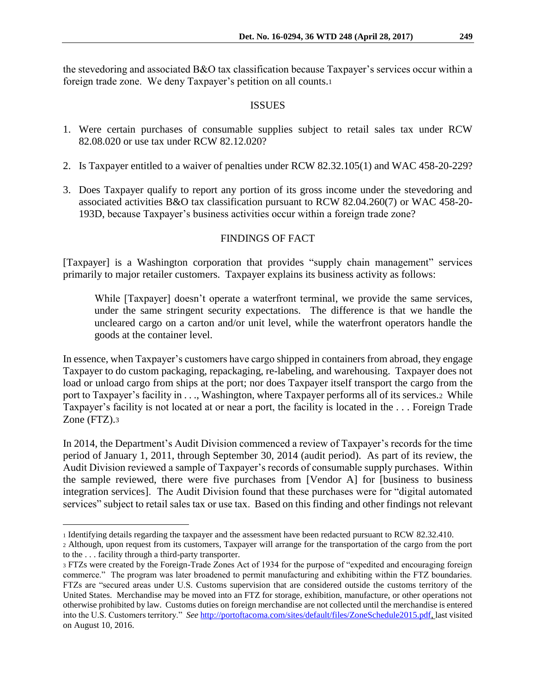the stevedoring and associated B&O tax classification because Taxpayer's services occur within a foreign trade zone. We deny Taxpayer's petition on all counts.<sup>1</sup>

#### ISSUES

- 1. Were certain purchases of consumable supplies subject to retail sales tax under RCW 82.08.020 or use tax under RCW 82.12.020?
- 2. Is Taxpayer entitled to a waiver of penalties under RCW 82.32.105(1) and WAC 458-20-229?
- 3. Does Taxpayer qualify to report any portion of its gross income under the stevedoring and associated activities B&O tax classification pursuant to RCW 82.04.260(7) or WAC 458-20- 193D, because Taxpayer's business activities occur within a foreign trade zone?

# FINDINGS OF FACT

[Taxpayer] is a Washington corporation that provides "supply chain management" services primarily to major retailer customers. Taxpayer explains its business activity as follows:

While [Taxpayer] doesn't operate a waterfront terminal, we provide the same services, under the same stringent security expectations. The difference is that we handle the uncleared cargo on a carton and/or unit level, while the waterfront operators handle the goods at the container level.

In essence, when Taxpayer's customers have cargo shipped in containers from abroad, they engage Taxpayer to do custom packaging, repackaging, re-labeling, and warehousing. Taxpayer does not load or unload cargo from ships at the port; nor does Taxpayer itself transport the cargo from the port to Taxpayer's facility in . . ., Washington, where Taxpayer performs all of its services.2 While Taxpayer's facility is not located at or near a port, the facility is located in the . . . Foreign Trade Zone (FTZ).<sup>3</sup>

In 2014, the Department's Audit Division commenced a review of Taxpayer's records for the time period of January 1, 2011, through September 30, 2014 (audit period). As part of its review, the Audit Division reviewed a sample of Taxpayer's records of consumable supply purchases. Within the sample reviewed, there were five purchases from [Vendor A] for [business to business integration services]. The Audit Division found that these purchases were for "digital automated services" subject to retail sales tax or use tax. Based on this finding and other findings not relevant

 $\overline{a}$ 

<sup>1</sup> Identifying details regarding the taxpayer and the assessment have been redacted pursuant to RCW 82.32.410.

<sup>2</sup> Although, upon request from its customers, Taxpayer will arrange for the transportation of the cargo from the port to the . . . facility through a third-party transporter.

<sup>3</sup> FTZs were created by the Foreign-Trade Zones Act of 1934 for the purpose of "expedited and encouraging foreign commerce." The program was later broadened to permit manufacturing and exhibiting within the FTZ boundaries. FTZs are "secured areas under U.S. Customs supervision that are considered outside the customs territory of the United States. Merchandise may be moved into an FTZ for storage, exhibition, manufacture, or other operations not otherwise prohibited by law. Customs duties on foreign merchandise are not collected until the merchandise is entered into the U.S. Customers territory." *See* [http://portoftacoma.com/sites/default/files/ZoneSchedule2015.pdf,](http://portoftacoma.com/sites/default/files/ZoneSchedule2015.pdf) last visited on August 10, 2016.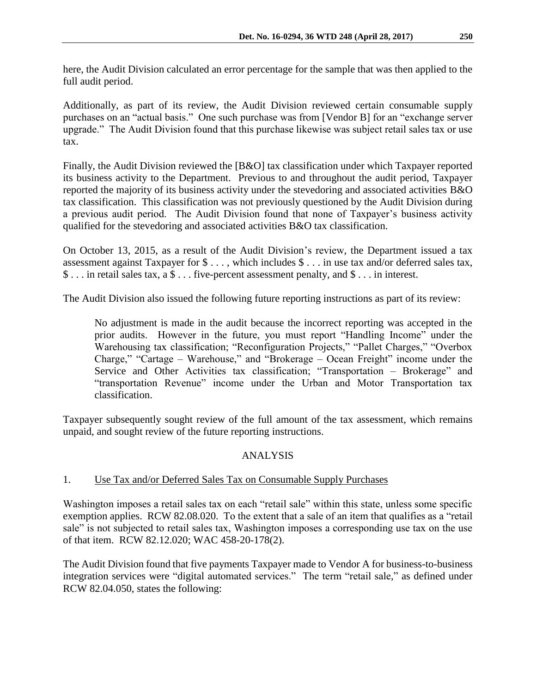here, the Audit Division calculated an error percentage for the sample that was then applied to the full audit period.

Additionally, as part of its review, the Audit Division reviewed certain consumable supply purchases on an "actual basis." One such purchase was from [Vendor B] for an "exchange server upgrade." The Audit Division found that this purchase likewise was subject retail sales tax or use tax.

Finally, the Audit Division reviewed the [B&O] tax classification under which Taxpayer reported its business activity to the Department. Previous to and throughout the audit period, Taxpayer reported the majority of its business activity under the stevedoring and associated activities B&O tax classification. This classification was not previously questioned by the Audit Division during a previous audit period. The Audit Division found that none of Taxpayer's business activity qualified for the stevedoring and associated activities B&O tax classification.

On October 13, 2015, as a result of the Audit Division's review, the Department issued a tax assessment against Taxpayer for \$ . . . , which includes \$ . . . in use tax and/or deferred sales tax, \$ . . . in retail sales tax, a \$ . . . five-percent assessment penalty, and \$ . . . in interest.

The Audit Division also issued the following future reporting instructions as part of its review:

No adjustment is made in the audit because the incorrect reporting was accepted in the prior audits. However in the future, you must report "Handling Income" under the Warehousing tax classification; "Reconfiguration Projects," "Pallet Charges," "Overbox Charge," "Cartage – Warehouse," and "Brokerage – Ocean Freight" income under the Service and Other Activities tax classification; "Transportation – Brokerage" and "transportation Revenue" income under the Urban and Motor Transportation tax classification.

Taxpayer subsequently sought review of the full amount of the tax assessment, which remains unpaid, and sought review of the future reporting instructions.

# ANALYSIS

# 1. Use Tax and/or Deferred Sales Tax on Consumable Supply Purchases

Washington imposes a retail sales tax on each "retail sale" within this state, unless some specific exemption applies. RCW 82.08.020. To the extent that a sale of an item that qualifies as a "retail sale" is not subjected to retail sales tax, Washington imposes a corresponding use tax on the use of that item. RCW 82.12.020; WAC 458-20-178(2).

The Audit Division found that five payments Taxpayer made to Vendor A for business-to-business integration services were "digital automated services." The term "retail sale," as defined under RCW 82.04.050, states the following: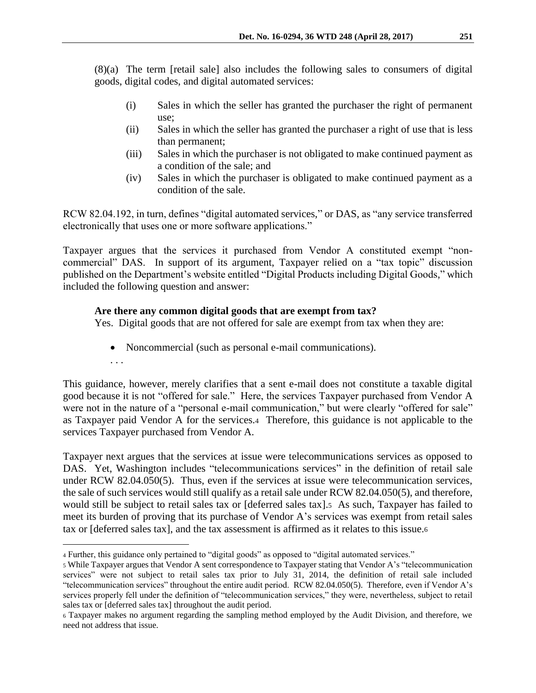(8)(a) The term [retail sale] also includes the following sales to consumers of digital goods, digital codes, and digital automated services:

- (i) Sales in which the seller has granted the purchaser the right of permanent use;
- (ii) Sales in which the seller has granted the purchaser a right of use that is less than permanent;
- (iii) Sales in which the purchaser is not obligated to make continued payment as a condition of the sale; and
- (iv) Sales in which the purchaser is obligated to make continued payment as a condition of the sale.

RCW 82.04.192, in turn, defines "digital automated services," or DAS, as "any service transferred electronically that uses one or more software applications."

Taxpayer argues that the services it purchased from Vendor A constituted exempt "noncommercial" DAS. In support of its argument, Taxpayer relied on a "tax topic" discussion published on the Department's website entitled "Digital Products including Digital Goods," which included the following question and answer:

# **Are there any common digital goods that are exempt from tax?**

Yes. Digital goods that are not offered for sale are exempt from tax when they are:

• Noncommercial (such as personal e-mail communications).

. . .

 $\overline{a}$ 

This guidance, however, merely clarifies that a sent e-mail does not constitute a taxable digital good because it is not "offered for sale." Here, the services Taxpayer purchased from Vendor A were not in the nature of a "personal e-mail communication," but were clearly "offered for sale" as Taxpayer paid Vendor A for the services.4 Therefore, this guidance is not applicable to the services Taxpayer purchased from Vendor A.

Taxpayer next argues that the services at issue were telecommunications services as opposed to DAS. Yet, Washington includes "telecommunications services" in the definition of retail sale under RCW 82.04.050(5). Thus, even if the services at issue were telecommunication services, the sale of such services would still qualify as a retail sale under RCW 82.04.050(5), and therefore, would still be subject to retail sales tax or [deferred sales tax].5 As such, Taxpayer has failed to meet its burden of proving that its purchase of Vendor A's services was exempt from retail sales tax or [deferred sales tax], and the tax assessment is affirmed as it relates to this issue.<sup>6</sup>

<sup>4</sup> Further, this guidance only pertained to "digital goods" as opposed to "digital automated services."

<sup>5</sup> While Taxpayer argues that Vendor A sent correspondence to Taxpayer stating that Vendor A's "telecommunication services" were not subject to retail sales tax prior to July 31, 2014, the definition of retail sale included "telecommunication services" throughout the entire audit period. RCW 82.04.050(5). Therefore, even if Vendor A's services properly fell under the definition of "telecommunication services," they were, nevertheless, subject to retail sales tax or [deferred sales tax] throughout the audit period.

<sup>6</sup> Taxpayer makes no argument regarding the sampling method employed by the Audit Division, and therefore, we need not address that issue.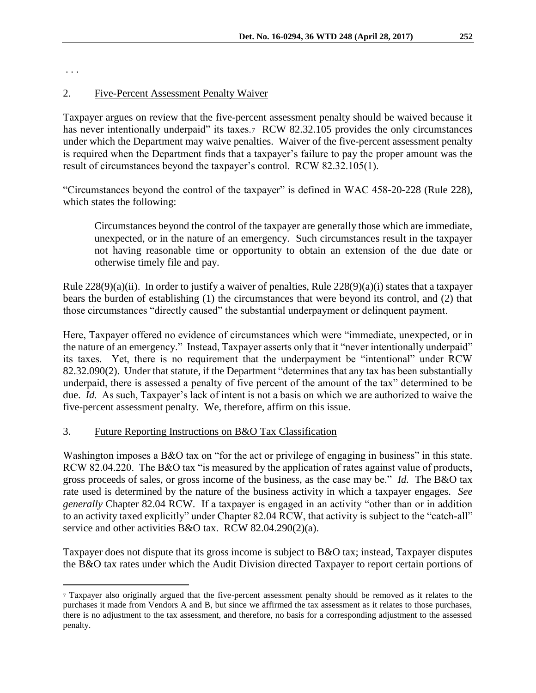. . .

 $\overline{a}$ 

#### 2. Five-Percent Assessment Penalty Waiver

Taxpayer argues on review that the five-percent assessment penalty should be waived because it has never intentionally underpaid" its taxes.7 RCW 82.32.105 provides the only circumstances under which the Department may waive penalties. Waiver of the five-percent assessment penalty is required when the Department finds that a taxpayer's failure to pay the proper amount was the result of circumstances beyond the taxpayer's control. RCW 82.32.105(1).

"Circumstances beyond the control of the taxpayer" is defined in WAC 458-20-228 (Rule 228), which states the following:

Circumstances beyond the control of the taxpayer are generally those which are immediate, unexpected, or in the nature of an emergency. Such circumstances result in the taxpayer not having reasonable time or opportunity to obtain an extension of the due date or otherwise timely file and pay.

Rule  $228(9)(a)(ii)$ . In order to justify a waiver of penalties, Rule  $228(9)(a)(i)$  states that a taxpayer bears the burden of establishing (1) the circumstances that were beyond its control, and (2) that those circumstances "directly caused" the substantial underpayment or delinquent payment.

Here, Taxpayer offered no evidence of circumstances which were "immediate, unexpected, or in the nature of an emergency." Instead, Taxpayer asserts only that it "never intentionally underpaid" its taxes. Yet, there is no requirement that the underpayment be "intentional" under RCW 82.32.090(2). Under that statute, if the Department "determines that any tax has been substantially underpaid, there is assessed a penalty of five percent of the amount of the tax" determined to be due. *Id.* As such, Taxpayer's lack of intent is not a basis on which we are authorized to waive the five-percent assessment penalty. We, therefore, affirm on this issue.

# 3. Future Reporting Instructions on B&O Tax Classification

Washington imposes a B&O tax on "for the act or privilege of engaging in business" in this state. RCW 82.04.220. The B&O tax "is measured by the application of rates against value of products, gross proceeds of sales, or gross income of the business, as the case may be." *Id.* The B&O tax rate used is determined by the nature of the business activity in which a taxpayer engages. *See generally* Chapter 82.04 RCW. If a taxpayer is engaged in an activity "other than or in addition to an activity taxed explicitly" under Chapter 82.04 RCW, that activity is subject to the "catch-all" service and other activities B&O tax. RCW 82.04.290(2)(a).

Taxpayer does not dispute that its gross income is subject to B&O tax; instead, Taxpayer disputes the B&O tax rates under which the Audit Division directed Taxpayer to report certain portions of

<sup>7</sup> Taxpayer also originally argued that the five-percent assessment penalty should be removed as it relates to the purchases it made from Vendors A and B, but since we affirmed the tax assessment as it relates to those purchases, there is no adjustment to the tax assessment, and therefore, no basis for a corresponding adjustment to the assessed penalty.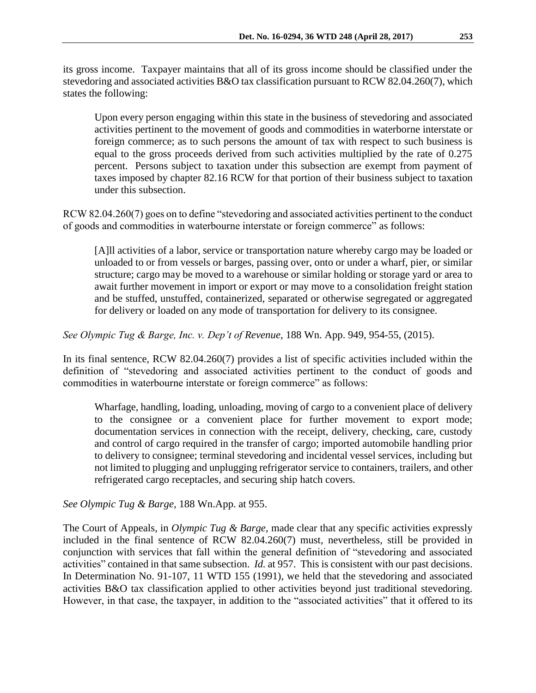its gross income. Taxpayer maintains that all of its gross income should be classified under the stevedoring and associated activities B&O tax classification pursuant to RCW 82.04.260(7), which states the following:

Upon every person engaging within this state in the business of stevedoring and associated activities pertinent to the movement of goods and commodities in waterborne interstate or foreign commerce; as to such persons the amount of tax with respect to such business is equal to the gross proceeds derived from such activities multiplied by the rate of 0.275 percent. Persons subject to taxation under this subsection are exempt from payment of taxes imposed by chapter 82.16 RCW for that portion of their business subject to taxation under this subsection.

RCW 82.04.260(7) goes on to define "stevedoring and associated activities pertinent to the conduct of goods and commodities in waterbourne interstate or foreign commerce" as follows:

[A]ll activities of a labor, service or transportation nature whereby cargo may be loaded or unloaded to or from vessels or barges, passing over, onto or under a wharf, pier, or similar structure; cargo may be moved to a warehouse or similar holding or storage yard or area to await further movement in import or export or may move to a consolidation freight station and be stuffed, unstuffed, containerized, separated or otherwise segregated or aggregated for delivery or loaded on any mode of transportation for delivery to its consignee.

*See Olympic Tug & Barge, Inc. v. Dep't of Revenue*, 188 Wn. App. 949, 954-55, (2015).

In its final sentence, RCW 82.04.260(7) provides a list of specific activities included within the definition of "stevedoring and associated activities pertinent to the conduct of goods and commodities in waterbourne interstate or foreign commerce" as follows:

Wharfage, handling, loading, unloading, moving of cargo to a convenient place of delivery to the consignee or a convenient place for further movement to export mode; documentation services in connection with the receipt, delivery, checking, care, custody and control of cargo required in the transfer of cargo; imported automobile handling prior to delivery to consignee; terminal stevedoring and incidental vessel services, including but not limited to plugging and unplugging refrigerator service to containers, trailers, and other refrigerated cargo receptacles, and securing ship hatch covers.

*See Olympic Tug & Barge,* 188 Wn.App. at 955.

The Court of Appeals, in *Olympic Tug & Barge*, made clear that any specific activities expressly included in the final sentence of RCW 82.04.260(7) must, nevertheless, still be provided in conjunction with services that fall within the general definition of "stevedoring and associated activities" contained in that same subsection. *Id.* at 957. This is consistent with our past decisions. In Determination No. 91-107, 11 WTD 155 (1991), we held that the stevedoring and associated activities B&O tax classification applied to other activities beyond just traditional stevedoring. However, in that case, the taxpayer, in addition to the "associated activities" that it offered to its